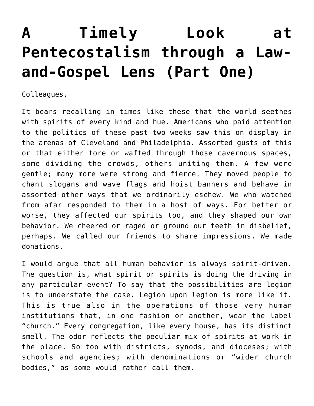## **[A Timely Look at](https://crossings.org/a-timely-look-at-pentecostalism-through-a-law-and-gospel-lens-part-one/) [Pentecostalism through a Law](https://crossings.org/a-timely-look-at-pentecostalism-through-a-law-and-gospel-lens-part-one/)[and-Gospel Lens \(Part One\)](https://crossings.org/a-timely-look-at-pentecostalism-through-a-law-and-gospel-lens-part-one/)**

Colleagues,

It bears recalling in times like these that the world seethes with spirits of every kind and hue. Americans who paid attention to the politics of these past two weeks saw this on display in the arenas of Cleveland and Philadelphia. Assorted gusts of this or that either tore or wafted through those cavernous spaces, some dividing the crowds, others uniting them. A few were gentle; many more were strong and fierce. They moved people to chant slogans and wave flags and hoist banners and behave in assorted other ways that we ordinarily eschew. We who watched from afar responded to them in a host of ways. For better or worse, they affected our spirits too, and they shaped our own behavior. We cheered or raged or ground our teeth in disbelief, perhaps. We called our friends to share impressions. We made donations.

I would argue that all human behavior is always spirit-driven. The question is, what spirit or spirits is doing the driving in any particular event? To say that the possibilities are legion is to understate the case. Legion upon legion is more like it. This is true also in the operations of those very human institutions that, in one fashion or another, wear the label "church." Every congregation, like every house, has its distinct smell. The odor reflects the peculiar mix of spirits at work in the place. So too with districts, synods, and dioceses; with schools and agencies; with denominations or "wider church bodies," as some would rather call them.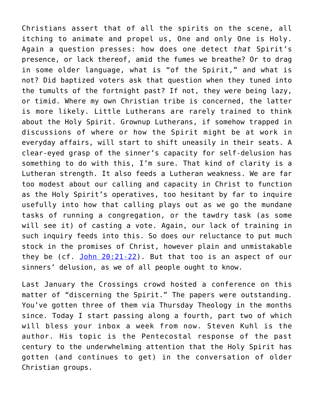Christians assert that of all the spirits on the scene, all itching to animate and propel us, One and only One is Holy. Again a question presses: how does one detect *that* Spirit's presence, or lack thereof, amid the fumes we breathe? Or to drag in some older language, what is "of the Spirit," and what is not? Did baptized voters ask that question when they tuned into the tumults of the fortnight past? If not, they were being lazy, or timid. Where my own Christian tribe is concerned, the latter is more likely. Little Lutherans are rarely trained to think about the Holy Spirit. Grownup Lutherans, if somehow trapped in discussions of where or how the Spirit might be at work in everyday affairs, will start to shift uneasily in their seats. A clear-eyed grasp of the sinner's capacity for self-delusion has something to do with this, I'm sure. That kind of clarity is a Lutheran strength. It also feeds a Lutheran weakness. We are far too modest about our calling and capacity in Christ to function as the Holy Spirit's operatives, too hesitant by far to inquire usefully into how that calling plays out as we go the mundane tasks of running a congregation, or the tawdry task (as some will see it) of casting a vote. Again, our lack of training in such inquiry feeds into this. So does our reluctance to put much stock in the promises of Christ, however plain and unmistakable they be (cf. [John 20:21-22\)](http://bible.oremus.org/?ql=336982477). But that too is an aspect of our sinners' delusion, as we of all people ought to know.

Last January the Crossings crowd hosted a conference on this matter of "discerning the Spirit." The papers were outstanding. You've gotten three of them via Thursday Theology in the months since. Today I start passing along a fourth, part two of which will bless your inbox a week from now. Steven Kuhl is the author. His topic is the Pentecostal response of the past century to the underwhelming attention that the Holy Spirit has gotten (and continues to get) in the conversation of older Christian groups.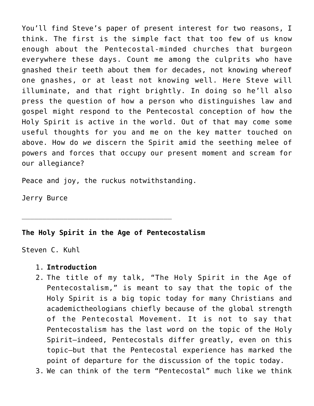You'll find Steve's paper of present interest for two reasons, I think. The first is the simple fact that too few of us know enough about the Pentecostal-minded churches that burgeon everywhere these days. Count me among the culprits who have gnashed their teeth about them for decades, not knowing whereof one gnashes, or at least not knowing well. Here Steve will illuminate, and that right brightly. In doing so he'll also press the question of how a person who distinguishes law and gospel might respond to the Pentecostal conception of how the Holy Spirit is active in the world. Out of that may come some useful thoughts for you and me on the key matter touched on above. How do *we* discern the Spirit amid the seething melee of powers and forces that occupy our present moment and scream for our allegiance?

Peace and joy, the ruckus notwithstanding.

\_\_\_\_\_\_\_\_\_\_\_\_\_\_\_\_\_\_\_\_\_\_\_\_\_\_\_\_\_\_\_\_\_\_\_\_

Jerry Burce

## **The Holy Spirit in the Age of Pentecostalism**

Steven C. Kuhl

## 1. **Introduction**

- 2. The title of my talk, "The Holy Spirit in the Age of Pentecostalism," is meant to say that the topic of the Holy Spirit is a big topic today for many Christians and academictheologians chiefly because of the global strength of the Pentecostal Movement. It is not to say that Pentecostalism has the last word on the topic of the Holy Spirit—indeed, Pentecostals differ greatly, even on this topic—but that the Pentecostal experience has marked the point of departure for the discussion of the topic today.
- 3. We can think of the term "Pentecostal" much like we think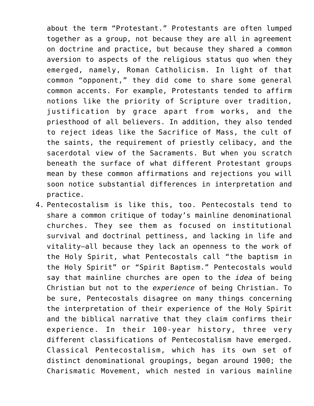about the term "Protestant." Protestants are often lumped together as a group, not because they are all in agreement on doctrine and practice, but because they shared a common aversion to aspects of the religious status quo when they emerged, namely, Roman Catholicism. In light of that common "opponent," they did come to share some general common accents. For example, Protestants tended to affirm notions like the priority of Scripture over tradition, justification by grace apart from works, and the priesthood of all believers. In addition, they also tended to reject ideas like the Sacrifice of Mass, the cult of the saints, the requirement of priestly celibacy, and the sacerdotal view of the Sacraments. But when you scratch beneath the surface of what different Protestant groups mean by these common affirmations and rejections you will soon notice substantial differences in interpretation and practice.

4. Pentecostalism is like this, too. Pentecostals tend to share a common critique of today's mainline denominational churches. They see them as focused on institutional survival and doctrinal pettiness, and lacking in life and vitality—all because they lack an openness to the work of the Holy Spirit, what Pentecostals call "the baptism in the Holy Spirit" or "Spirit Baptism." Pentecostals would say that mainline churches are open to the *idea* of being Christian but not to the *experience* of being Christian. To be sure, Pentecostals disagree on many things concerning the interpretation of their experience of the Holy Spirit and the biblical narrative that they claim confirms their experience. In their 100-year history, three very different classifications of Pentecostalism have emerged. Classical Pentecostalism, which has its own set of distinct denominational groupings, began around 1900; the Charismatic Movement, which nested in various mainline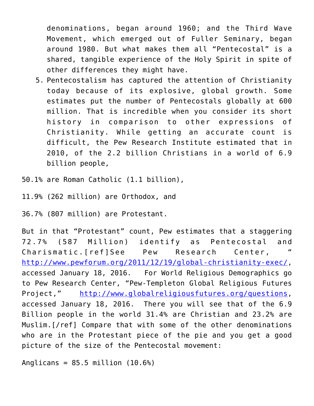denominations, began around 1960; and the Third Wave Movement, which emerged out of Fuller Seminary, began around 1980. But what makes them all "Pentecostal" is a shared, tangible experience of the Holy Spirit in spite of other differences they might have.

- 5. Pentecostalism has captured the attention of Christianity today because of its explosive, global growth. Some estimates put the number of Pentecostals globally at 600 million. That is incredible when you consider its short history in comparison to other expressions of Christianity. While getting an accurate count is difficult, the Pew Research Institute estimated that in 2010, of the 2.2 billion Christians in a world of 6.9 billion people,
- 50.1% are Roman Catholic (1.1 billion),
- 11.9% (262 million) are Orthodox, and

36.7% (807 million) are Protestant.

But in that "Protestant" count, Pew estimates that a staggering 72.7% (587 Million) identify as Pentecostal and Charismatic. [ref]See Pew Research Center, <http://www.pewforum.org/2011/12/19/global-christianity-exec/>, accessed January 18, 2016. For World Religious Demographics go to Pew Research Center, "Pew-Templeton Global Religious Futures Project," <http://www.globalreligiousfutures.org/questions>, accessed January 18, 2016. There you will see that of the 6.9 Billion people in the world 31.4% are Christian and 23.2% are Muslim.[/ref] Compare that with some of the other denominations who are in the Protestant piece of the pie and you get a good picture of the size of the Pentecostal movement:

Anglicans =  $85.5$  million  $(10.6%)$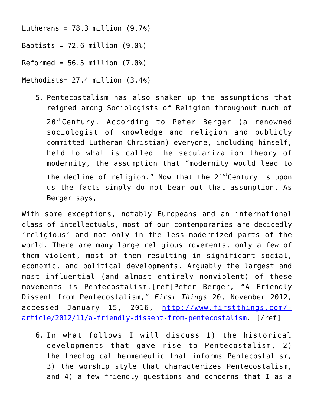Lutherans =  $78.3$  million  $(9.7%)$ 

Baptists =  $72.6$  million  $(9.0\%)$ 

Reformed =  $56.5$  million  $(7.0\%)$ 

Methodists= 27.4 million (3.4%)

5. Pentecostalism has also shaken up the assumptions that reigned among Sociologists of Religion throughout much of 20<sup>th</sup>Century. According to Peter Berger (a renowned sociologist of knowledge and religion and publicly committed Lutheran Christian) everyone, including himself, held to what is called the secularization theory of modernity, the assumption that "modernity would lead to the decline of religion." Now that the  $21^{st}$ Century is upon us the facts simply do not bear out that assumption. As Berger says,

With some exceptions, notably Europeans and an international class of intellectuals, most of our contemporaries are decidedly 'religious' and not only in the less-modernized parts of the world. There are many large religious movements, only a few of them violent, most of them resulting in significant social, economic, and political developments. Arguably the largest and most influential (and almost entirely nonviolent) of these movements is Pentecostalism.[ref]Peter Berger, "A Friendly Dissent from Pentecostalism," *First Things* 20, November 2012, accessed January 15, 2016, [http://www.firstthings.com/](http://www.firstthings.com/article/2012/11/a-friendly-dissent-from-pentecostalism) [article/2012/11/a-friendly-dissent-from-pentecostalism](http://www.firstthings.com/article/2012/11/a-friendly-dissent-from-pentecostalism). [/ref]

6. In what follows I will discuss 1) the historical developments that gave rise to Pentecostalism, 2) the theological hermeneutic that informs Pentecostalism, 3) the worship style that characterizes Pentecostalism, and 4) a few friendly questions and concerns that I as a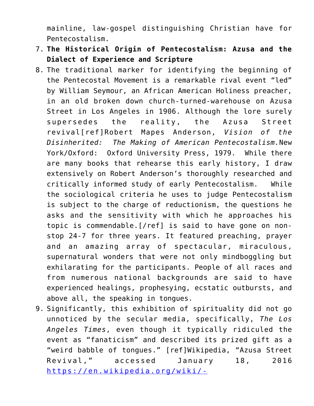mainline, law-gospel distinguishing Christian have for Pentecostalism.

- 7. **The Historical Origin of Pentecostalism: Azusa and the Dialect of Experience and Scripture**
- 8. The traditional marker for identifying the beginning of the Pentecostal Movement is a remarkable rival event "led" by William Seymour, an African American Holiness preacher, in an old broken down church-turned-warehouse on Azusa Street in Los Angeles in 1906. Although the lore surely supersedes the reality, the Azusa Street revival[ref]Robert Mapes Anderson, *Vision of the Disinherited: The Making of American Pentecostalism.*New York/Oxford: Oxford University Press, 1979. While there are many books that rehearse this early history, I draw extensively on Robert Anderson's thoroughly researched and critically informed study of early Pentecostalism. While the sociological criteria he uses to judge Pentecostalism is subject to the charge of reductionism, the questions he asks and the sensitivity with which he approaches his topic is commendable.[/ref] is said to have gone on nonstop 24-7 for three years. It featured preaching, prayer and an amazing array of spectacular, miraculous, supernatural wonders that were not only mindboggling but exhilarating for the participants. People of all races and from numerous national backgrounds are said to have experienced healings, prophesying, ecstatic outbursts, and above all, the speaking in tongues.
- 9. Significantly, this exhibition of spirituality did not go unnoticed by the secular media, specifically, *The Los Angeles Times*, even though it typically ridiculed the event as "fanaticism" and described its prized gift as a "weird babble of tongues." [ref]Wikipedia, "Azusa Street Revival," accessed January 18, 2016 [https://en.wikipedia.org/wiki/-](https://en.wikipedia.org/wiki/Azusa_Street_Revival)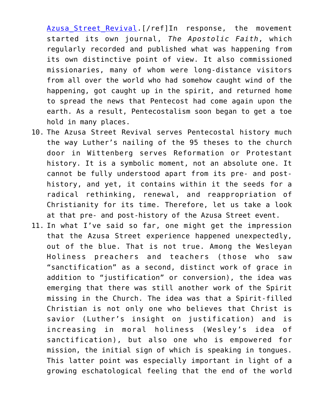Azusa Street Revival. [/ref]In response, the movement started its own journal, *The Apostolic Faith*, which regularly recorded and published what was happening from its own distinctive point of view. It also commissioned missionaries, many of whom were long-distance visitors from all over the world who had somehow caught wind of the happening, got caught up in the spirit, and returned home to spread the news that Pentecost had come again upon the earth. As a result, Pentecostalism soon began to get a toe hold in many places.

- 10. The Azusa Street Revival serves Pentecostal history much the way Luther's nailing of the 95 theses to the church door in Wittenberg serves Reformation or Protestant history. It is a symbolic moment, not an absolute one. It cannot be fully understood apart from its pre- and posthistory, and yet, it contains within it the seeds for a radical rethinking, renewal, and reappropriation of Christianity for its time. Therefore, let us take a look at that pre- and post-history of the Azusa Street event.
- 11. In what I've said so far, one might get the impression that the Azusa Street experience happened unexpectedly, out of the blue. That is not true. Among the Wesleyan Holiness preachers and teachers (those who saw "sanctification" as a second, distinct work of grace in addition to "justification" or conversion), the idea was emerging that there was still another work of the Spirit missing in the Church. The idea was that a Spirit-filled Christian is not only one who believes that Christ is savior (Luther's insight on justification) and is increasing in moral holiness (Wesley's idea of sanctification), but also one who is empowered for mission, the initial sign of which is speaking in tongues. This latter point was especially important in light of a growing eschatological feeling that the end of the world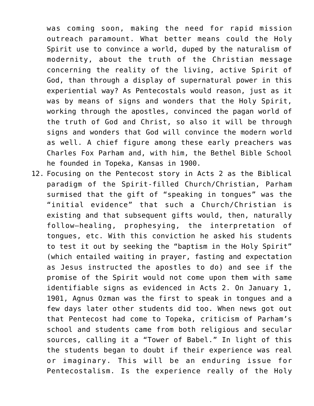was coming soon, making the need for rapid mission outreach paramount. What better means could the Holy Spirit use to convince a world, duped by the naturalism of modernity, about the truth of the Christian message concerning the reality of the living, active Spirit of God, than through a display of supernatural power in this experiential way? As Pentecostals would reason, just as it was by means of signs and wonders that the Holy Spirit, working through the apostles, convinced the pagan world of the truth of God and Christ, so also it will be through signs and wonders that God will convince the modern world as well. A chief figure among these early preachers was Charles Fox Parham and, with him, the Bethel Bible School he founded in Topeka, Kansas in 1900.

12. Focusing on the Pentecost story in Acts 2 as the Biblical paradigm of the Spirit-filled Church/Christian, Parham surmised that the gift of "speaking in tongues" was the "initial evidence" that such a Church/Christian is existing and that subsequent gifts would, then, naturally follow—healing, prophesying, the interpretation of tongues, etc. With this conviction he asked his students to test it out by seeking the "baptism in the Holy Spirit" (which entailed waiting in prayer, fasting and expectation as Jesus instructed the apostles to do) and see if the promise of the Spirit would not come upon them with same identifiable signs as evidenced in Acts 2. On January 1, 1901, Agnus Ozman was the first to speak in tongues and a few days later other students did too. When news got out that Pentecost had come to Topeka, criticism of Parham's school and students came from both religious and secular sources, calling it a "Tower of Babel." In light of this the students began to doubt if their experience was real or imaginary. This will be an enduring issue for Pentecostalism. Is the experience really of the Holy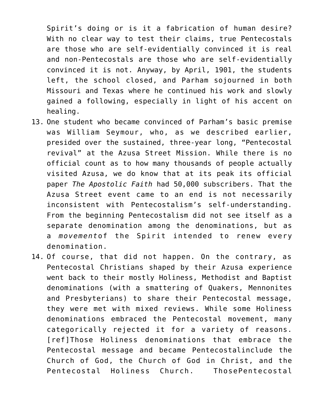Spirit's doing or is it a fabrication of human desire? With no clear way to test their claims, true Pentecostals are those who are self-evidentially convinced it is real and non-Pentecostals are those who are self-evidentially convinced it is not. Anyway, by April, 1901, the students left, the school closed, and Parham sojourned in both Missouri and Texas where he continued his work and slowly gained a following, especially in light of his accent on healing.

- 13. One student who became convinced of Parham's basic premise was William Seymour, who, as we described earlier, presided over the sustained, three-year long, "Pentecostal revival" at the Azusa Street Mission. While there is no official count as to how many thousands of people actually visited Azusa, we do know that at its peak its official paper *The Apostolic Faith* had 50,000 subscribers. That the Azusa Street event came to an end is not necessarily inconsistent with Pentecostalism's self-understanding. From the beginning Pentecostalism did not see itself as a separate denomination among the denominations, but as a *movement*of the Spirit intended to renew every denomination.
- 14. Of course, that did not happen. On the contrary, as Pentecostal Christians shaped by their Azusa experience went back to their mostly Holiness, Methodist and Baptist denominations (with a smattering of Quakers, Mennonites and Presbyterians) to share their Pentecostal message, they were met with mixed reviews. While some Holiness denominations embraced the Pentecostal movement, many categorically rejected it for a variety of reasons. [ref]Those Holiness denominations that embrace the Pentecostal message and became Pentecostalinclude the Church of God, the Church of God in Christ, and the Pentecostal Holiness Church. ThosePentecostal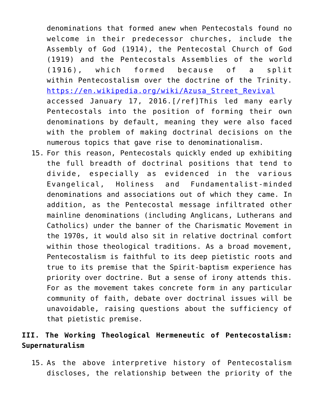denominations that formed anew when Pentecostals found no welcome in their predecessor churches, include the Assembly of God (1914), the Pentecostal Church of God (1919) and the Pentecostals Assemblies of the world (1916), which formed because of a split within Pentecostalism over the doctrine of the Trinity. [https://en.wikipedia.org/wiki/Azusa\\_Street\\_Revival](https://en.wikipedia.org/wiki/Azusa_Street_Revival) accessed January 17, 2016.[/ref]This led many early Pentecostals into the position of forming their own denominations by default, meaning they were also faced with the problem of making doctrinal decisions on the numerous topics that gave rise to denominationalism.

15. For this reason, Pentecostals quickly ended up exhibiting the full breadth of doctrinal positions that tend to divide, especially as evidenced in the various Evangelical, Holiness and Fundamentalist-minded denominations and associations out of which they came. In addition, as the Pentecostal message infiltrated other mainline denominations (including Anglicans, Lutherans and Catholics) under the banner of the Charismatic Movement in the 1970s, it would also sit in relative doctrinal comfort within those theological traditions. As a broad movement, Pentecostalism is faithful to its deep pietistic roots and true to its premise that the Spirit-baptism experience has priority over doctrine. But a sense of irony attends this. For as the movement takes concrete form in any particular community of faith, debate over doctrinal issues will be unavoidable, raising questions about the sufficiency of that pietistic premise.

## **III. The Working Theological Hermeneutic of Pentecostalism: Supernaturalism**

15. As the above interpretive history of Pentecostalism discloses, the relationship between the priority of the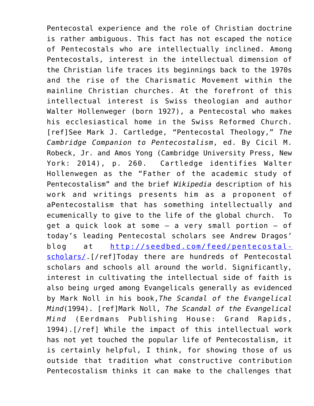Pentecostal experience and the role of Christian doctrine is rather ambiguous. This fact has not escaped the notice of Pentecostals who are intellectually inclined. Among Pentecostals, interest in the intellectual dimension of the Christian life traces its beginnings back to the 1970s and the rise of the Charismatic Movement within the mainline Christian churches. At the forefront of this intellectual interest is Swiss theologian and author Walter Hollenweger (born 1927), a Pentecostal who makes his ecclesiastical home in the Swiss Reformed Church. [ref]See Mark J. Cartledge, "Pentecostal Theology," *The Cambridge Companion to Pentecostalism*, ed. By Cicil M. Robeck, Jr. and Amos Yong (Cambridge University Press, New York: 2014), p. 260. Cartledge identifies Walter Hollenwegen as the "Father of the academic study of Pentecostalism" and the brief *Wikipedia* description of his work and writings presents him as a proponent of aPentecostalism that has something intellectually and ecumenically to give to the life of the global church. To get a quick look at some – a very small portion – of today's leading Pentecostal scholars see Andrew Dragos' blog at [http://seedbed.com/feed/pentecostal](http://seedbed.com/feed/pentecostal-scholars/)[scholars/.](http://seedbed.com/feed/pentecostal-scholars/)[/ref]Today there are hundreds of Pentecostal scholars and schools all around the world. Significantly, interest in cultivating the intellectual side of faith is also being urged among Evangelicals generally as evidenced by Mark Noll in his book,*The Scandal of the Evangelical Mind*(1994). [ref]Mark Noll, *The Scandal of the Evangelical Mind* (Eerdmans Publishing House: Grand Rapids, 1994).[/ref] While the impact of this intellectual work has not yet touched the popular life of Pentecostalism, it is certainly helpful, I think, for showing those of us outside that tradition what constructive contribution Pentecostalism thinks it can make to the challenges that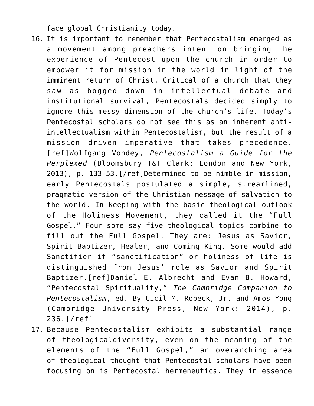face global Christianity today.

- 16. It is important to remember that Pentecostalism emerged as a movement among preachers intent on bringing the experience of Pentecost upon the church in order to empower it for mission in the world in light of the imminent return of Christ. Critical of a church that they saw as bogged down in intellectual debate and institutional survival, Pentecostals decided simply to ignore this messy dimension of the church's life. Today's Pentecostal scholars do not see this as an inherent antiintellectualism within Pentecostalism, but the result of a mission driven imperative that takes precedence. [ref]Wolfgang Vondey, *Pentecostalism a Guide for the Perplexed* (Bloomsbury T&T Clark: London and New York, 2013), p. 133-53.[/ref]Determined to be nimble in mission, early Pentecostals postulated a simple, streamlined, pragmatic version of the Christian message of salvation to the world. In keeping with the basic theological outlook of the Holiness Movement, they called it the "Full Gospel." Four—some say five—theological topics combine to fill out the Full Gospel. They are: Jesus as Savior, Spirit Baptizer, Healer, and Coming King. Some would add Sanctifier if "sanctification" or holiness of life is distinguished from Jesus' role as Savior and Spirit Baptizer.[ref]Daniel E. Albrecht and Evan B. Howard, "Pentecostal Spirituality," *The Cambridge Companion to Pentecostalism*, ed. By Cicil M. Robeck, Jr. and Amos Yong (Cambridge University Press, New York: 2014), p. 236.[/ref]
- 17. Because Pentecostalism exhibits a substantial range of theologicaldiversity, even on the meaning of the elements of the "Full Gospel," an overarching area of theological thought that Pentecostal scholars have been focusing on is Pentecostal hermeneutics. They in essence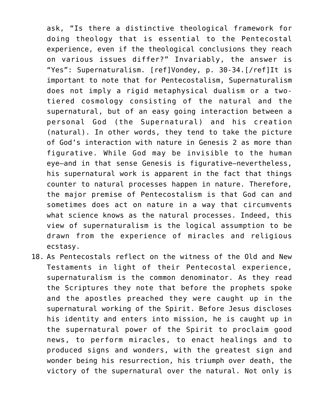ask, "Is there a distinctive theological framework for doing theology that is essential to the Pentecostal experience, even if the theological conclusions they reach on various issues differ?" Invariably, the answer is "Yes": Supernaturalism. [ref]Vondey, p. 30-34.[/ref]It is important to note that for Pentecostalism, Supernaturalism does not imply a rigid metaphysical dualism or a twotiered cosmology consisting of the natural and the supernatural, but of an easy going interaction between a personal God (the Supernatural) and his creation (natural). In other words, they tend to take the picture of God's interaction with nature in Genesis 2 as more than figurative. While God may be invisible to the human eye—and in that sense Genesis is figurative—nevertheless, his supernatural work is apparent in the fact that things counter to natural processes happen in nature. Therefore, the major premise of Pentecostalism is that God can and sometimes does act on nature in a way that circumvents what science knows as the natural processes. Indeed, this view of supernaturalism is the logical assumption to be drawn from the experience of miracles and religious ecstasy.

18. As Pentecostals reflect on the witness of the Old and New Testaments in light of their Pentecostal experience, supernaturalism is the common denominator. As they read the Scriptures they note that before the prophets spoke and the apostles preached they were caught up in the supernatural working of the Spirit. Before Jesus discloses his identity and enters into mission, he is caught up in the supernatural power of the Spirit to proclaim good news, to perform miracles, to enact healings and to produced signs and wonders, with the greatest sign and wonder being his resurrection, his triumph over death, the victory of the supernatural over the natural. Not only is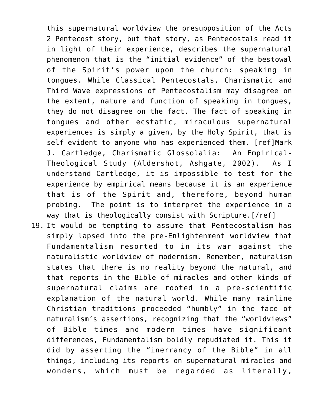this supernatural worldview the presupposition of the Acts 2 Pentecost story, but that story, as Pentecostals read it in light of their experience, describes the supernatural phenomenon that is the "initial evidence" of the bestowal of the Spirit's power upon the church: speaking in tongues. While Classical Pentecostals, Charismatic and Third Wave expressions of Pentecostalism may disagree on the extent, nature and function of speaking in tongues, they do not disagree on the fact. The fact of speaking in tongues and other ecstatic, miraculous supernatural experiences is simply a given, by the Holy Spirit, that is self-evident to anyone who has experienced them. [ref]Mark J. Cartledge, Charismatic Glossolalia: An Empirical-Theological Study (Aldershot, Ashgate, 2002). As I understand Cartledge, it is impossible to test for the experience by empirical means because it is an experience that is of the Spirit and, therefore, beyond human probing. The point is to interpret the experience in a way that is theologically consist with Scripture.[/ref]

19. It would be tempting to assume that Pentecostalism has simply lapsed into the pre-Enlightenment worldview that Fundamentalism resorted to in its war against the naturalistic worldview of modernism. Remember, naturalism states that there is no reality beyond the natural, and that reports in the Bible of miracles and other kinds of supernatural claims are rooted in a pre-scientific explanation of the natural world. While many mainline Christian traditions proceeded "humbly" in the face of naturalism's assertions, recognizing that the "worldviews" of Bible times and modern times have significant differences, Fundamentalism boldly repudiated it. This it did by asserting the "inerrancy of the Bible" in all things, including its reports on supernatural miracles and wonders, which must be regarded as literally,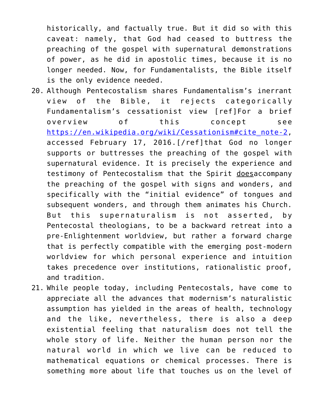historically, and factually true. But it did so with this caveat: namely, that God had ceased to buttress the preaching of the gospel with supernatural demonstrations of power, as he did in apostolic times, because it is no longer needed. Now, for Fundamentalists, the Bible itself is the only evidence needed.

- 20. Although Pentecostalism shares Fundamentalism's inerrant view of the Bible, it rejects categorically Fundamentalism's cessationist view [ref]For a brief overview of this concept see [https://en.wikipedia.org/wiki/Cessationism#cite\\_note-2](https://en.wikipedia.org/wiki/Cessationism#cite_note-2), accessed February 17, 2016.[/ref]that God no longer supports or buttresses the preaching of the gospel with supernatural evidence. It is precisely the experience and testimony of Pentecostalism that the Spirit doesaccompany the preaching of the gospel with signs and wonders, and specifically with the "initial evidence" of tongues and subsequent wonders, and through them animates his Church. But this supernaturalism is not asserted, by Pentecostal theologians, to be a backward retreat into a pre-Enlightenment worldview, but rather a forward charge that is perfectly compatible with the emerging post-modern worldview for which personal experience and intuition takes precedence over institutions, rationalistic proof, and tradition.
- 21. While people today, including Pentecostals, have come to appreciate all the advances that modernism's naturalistic assumption has yielded in the areas of health, technology and the like, nevertheless, there is also a deep existential feeling that naturalism does not tell the whole story of life. Neither the human person nor the natural world in which we live can be reduced to mathematical equations or chemical processes. There is something more about life that touches us on the level of